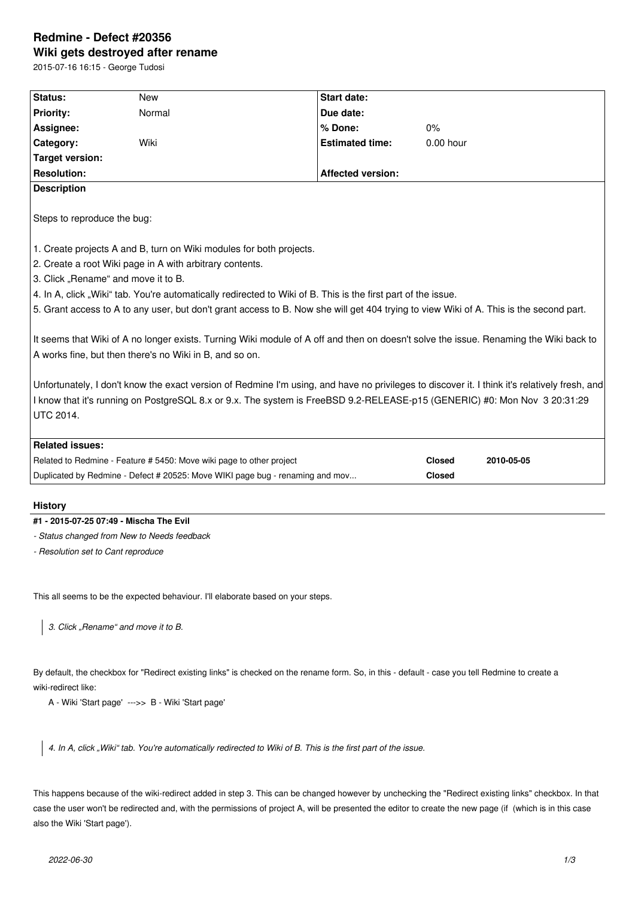# **Redmine - Defect #20356 Wiki gets destroyed after rename**

2015-07-16 16:15 - George Tudosi

| Status:                     | <b>New</b>                                                           | <b>Start date:</b>                                                                                                                            |                          |            |
|-----------------------------|----------------------------------------------------------------------|-----------------------------------------------------------------------------------------------------------------------------------------------|--------------------------|------------|
| <b>Priority:</b>            | Normal                                                               | Due date:                                                                                                                                     |                          |            |
| Assignee:                   |                                                                      | % Done:                                                                                                                                       | $0\%$                    |            |
| Category:                   | Wiki                                                                 | <b>Estimated time:</b>                                                                                                                        | $0.00$ hour              |            |
| Target version:             |                                                                      |                                                                                                                                               |                          |            |
| <b>Resolution:</b>          |                                                                      |                                                                                                                                               | <b>Affected version:</b> |            |
| <b>Description</b>          |                                                                      |                                                                                                                                               |                          |            |
|                             |                                                                      |                                                                                                                                               |                          |            |
| Steps to reproduce the bug: |                                                                      |                                                                                                                                               |                          |            |
|                             |                                                                      |                                                                                                                                               |                          |            |
|                             | 1. Create projects A and B, turn on Wiki modules for both projects.  |                                                                                                                                               |                          |            |
|                             | 2. Create a root Wiki page in A with arbitrary contents.             |                                                                                                                                               |                          |            |
|                             | 3. Click "Rename" and move it to B.                                  |                                                                                                                                               |                          |            |
|                             |                                                                      | 4. In A, click "Wiki" tab. You're automatically redirected to Wiki of B. This is the first part of the issue.                                 |                          |            |
|                             |                                                                      | 5. Grant access to A to any user, but don't grant access to B. Now she will get 404 trying to view Wiki of A. This is the second part.        |                          |            |
|                             |                                                                      |                                                                                                                                               |                          |            |
|                             |                                                                      | It seems that Wiki of A no longer exists. Turning Wiki module of A off and then on doesn't solve the issue. Renaming the Wiki back to         |                          |            |
|                             | A works fine, but then there's no Wiki in B, and so on.              |                                                                                                                                               |                          |            |
|                             |                                                                      |                                                                                                                                               |                          |            |
|                             |                                                                      | Unfortunately, I don't know the exact version of Redmine I'm using, and have no privileges to discover it. I think it's relatively fresh, and |                          |            |
|                             |                                                                      | I know that it's running on PostgreSQL 8.x or 9.x. The system is FreeBSD 9.2-RELEASE-p15 (GENERIC) #0: Mon Nov 3 20:31:29                     |                          |            |
| <b>UTC 2014.</b>            |                                                                      |                                                                                                                                               |                          |            |
|                             |                                                                      |                                                                                                                                               |                          |            |
|                             |                                                                      |                                                                                                                                               |                          |            |
| <b>Related issues:</b>      |                                                                      |                                                                                                                                               |                          |            |
|                             | Related to Redmine - Feature # 5450: Move wiki page to other project |                                                                                                                                               | <b>Closed</b>            | 2010-05-05 |

## **History**

## **#1 - 2015-07-25 07:49 - Mischa The Evil**

- *Status changed from New to Needs feedback*
- *Resolution set to Cant reproduce*

This all seems to be the expected behaviour. I'll elaborate based on your steps.

*3. Click "Rename" and move it to B.*

By default, the checkbox for "Redirect existing links" is checked on the rename form. So, in this - default - case you tell Redmine to create a wiki-redirect like:

A - Wiki 'Start page' --->> B - Wiki 'Start page'

*4. In A, click "Wiki" tab. You're automatically redirected to Wiki of B. This is the first part of the issue.*

This happens because of the wiki-redirect added in step 3. This can be changed however by unchecking the "Redirect existing links" checkbox. In that case the user won't be redirected and, with the permissions of project A, will be presented the editor to create the new page (if (which is in this case also the Wiki 'Start page').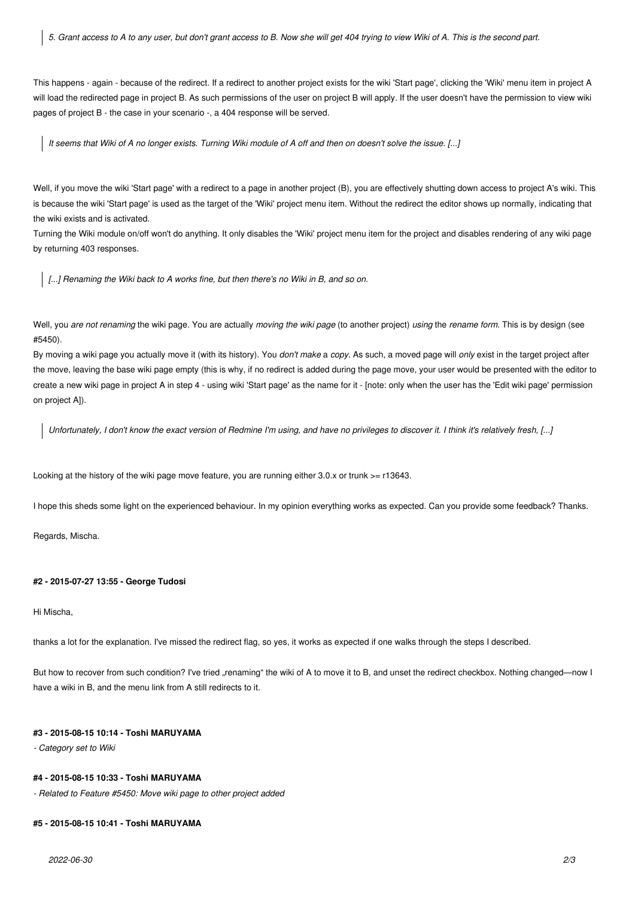*5. Grant access to A to any user, but don't grant access to B. Now she will get 404 trying to view Wiki of A. This is the second part.*

This happens - again - because of the redirect. If a redirect to another project exists for the wiki 'Start page', clicking the 'Wiki' menu item in project A will load the redirected page in project B. As such permissions of the user on project B will apply. If the user doesn't have the permission to view wiki pages of project B - the case in your scenario -, a 404 response will be served.

*It seems that Wiki of A no longer exists. Turning Wiki module of A off and then on doesn't solve the issue. [...]*

Well, if you move the wiki 'Start page' with a redirect to a page in another project (B), you are effectively shutting down access to project A's wiki. This is because the wiki 'Start page' is used as the target of the 'Wiki' project menu item. Without the redirect the editor shows up normally, indicating that the wiki exists and is activated.

Turning the Wiki module on/off won't do anything. It only disables the 'Wiki' project menu item for the project and disables rendering of any wiki page by returning 403 responses.

*[...] Renaming the Wiki back to A works fine, but then there's no Wiki in B, and so on.*

Well, you *are not renaming* the wiki page. You are actually *moving the wiki page* (to another project) *using* the *rename form*. This is by design (see #5450).

By moving a wiki page you actually move it (with its history). You *don't make* a *copy*. As such, a moved page will *only* exist in the target project after the move, leaving the base wiki page empty (this is why, if no redirect is added during the page move, your user would be presented with the editor to create a new wiki page in project A in step 4 - using wiki 'Start page' as the name for it - [note: only when the user has the 'Edit wiki page' permission on project A]).

*Unfortunately, I don't know the exact version of Redmine I'm using, and have no privileges to discover it. I think it's relatively fresh, [...]*

Looking at the history of the wiki page move feature, you are running either 3.0.x or trunk >= r13643.

I hope this sheds some light on the experienced behaviour. In my opinion everything works as expected. Can you provide some feedback? Thanks.

Regards, Mischa.

## **#2 - 2015-07-27 13:55 - George Tudosi**

Hi Mischa,

thanks a lot for the explanation. I've missed the redirect flag, so yes, it works as expected if one walks through the steps I described.

But how to recover from such condition? I've tried "renaming" the wiki of A to move it to B, and unset the redirect checkbox. Nothing changed—now I have a wiki in B, and the menu link from A still redirects to it.

#### **#3 - 2015-08-15 10:14 - Toshi MARUYAMA**

*- Category set to Wiki*

## **#4 - 2015-08-15 10:33 - Toshi MARUYAMA**

*- Related to Feature #5450: Move wiki page to other project added*

#### **#5 - 2015-08-15 10:41 - Toshi MARUYAMA**